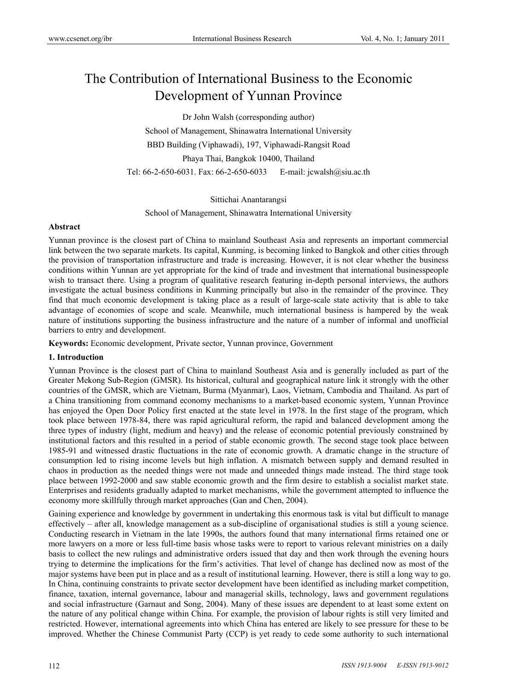# The Contribution of International Business to the Economic Development of Yunnan Province

Dr John Walsh (corresponding author) School of Management, Shinawatra International University BBD Building (Viphawadi), 197, Viphawadi-Rangsit Road Phaya Thai, Bangkok 10400, Thailand Tel: 66-2-650-6031. Fax: 66-2-650-6033 E-mail: jcwalsh@siu.ac.th

### Sittichai Anantarangsi

School of Management, Shinawatra International University

### **Abstract**

Yunnan province is the closest part of China to mainland Southeast Asia and represents an important commercial link between the two separate markets. Its capital, Kunming, is becoming linked to Bangkok and other cities through the provision of transportation infrastructure and trade is increasing. However, it is not clear whether the business conditions within Yunnan are yet appropriate for the kind of trade and investment that international businesspeople wish to transact there. Using a program of qualitative research featuring in-depth personal interviews, the authors investigate the actual business conditions in Kunming principally but also in the remainder of the province. They find that much economic development is taking place as a result of large-scale state activity that is able to take advantage of economies of scope and scale. Meanwhile, much international business is hampered by the weak nature of institutions supporting the business infrastructure and the nature of a number of informal and unofficial barriers to entry and development.

**Keywords:** Economic development, Private sector, Yunnan province, Government

## **1. Introduction**

Yunnan Province is the closest part of China to mainland Southeast Asia and is generally included as part of the Greater Mekong Sub-Region (GMSR). Its historical, cultural and geographical nature link it strongly with the other countries of the GMSR, which are Vietnam, Burma (Myanmar), Laos, Vietnam, Cambodia and Thailand. As part of a China transitioning from command economy mechanisms to a market-based economic system, Yunnan Province has enjoyed the Open Door Policy first enacted at the state level in 1978. In the first stage of the program, which took place between 1978-84, there was rapid agricultural reform, the rapid and balanced development among the three types of industry (light, medium and heavy) and the release of economic potential previously constrained by institutional factors and this resulted in a period of stable economic growth. The second stage took place between 1985-91 and witnessed drastic fluctuations in the rate of economic growth. A dramatic change in the structure of consumption led to rising income levels but high inflation. A mismatch between supply and demand resulted in chaos in production as the needed things were not made and unneeded things made instead. The third stage took place between 1992-2000 and saw stable economic growth and the firm desire to establish a socialist market state. Enterprises and residents gradually adapted to market mechanisms, while the government attempted to influence the economy more skillfully through market approaches (Gan and Chen, 2004).

Gaining experience and knowledge by government in undertaking this enormous task is vital but difficult to manage effectively – after all, knowledge management as a sub-discipline of organisational studies is still a young science. Conducting research in Vietnam in the late 1990s, the authors found that many international firms retained one or more lawyers on a more or less full-time basis whose tasks were to report to various relevant ministries on a daily basis to collect the new rulings and administrative orders issued that day and then work through the evening hours trying to determine the implications for the firm's activities. That level of change has declined now as most of the major systems have been put in place and as a result of institutional learning. However, there is still a long way to go. In China, continuing constraints to private sector development have been identified as including market competition, finance, taxation, internal governance, labour and managerial skills, technology, laws and government regulations and social infrastructure (Garnaut and Song, 2004). Many of these issues are dependent to at least some extent on the nature of any political change within China. For example, the provision of labour rights is still very limited and restricted. However, international agreements into which China has entered are likely to see pressure for these to be improved. Whether the Chinese Communist Party (CCP) is yet ready to cede some authority to such international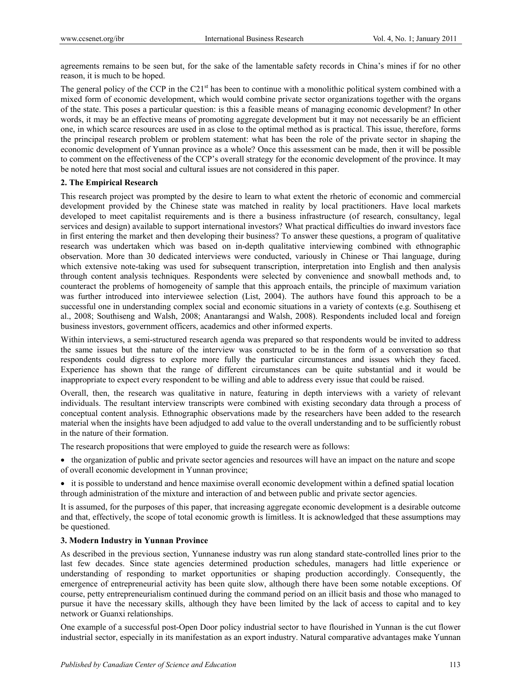agreements remains to be seen but, for the sake of the lamentable safety records in China's mines if for no other reason, it is much to be hoped.

The general policy of the CCP in the C21<sup>st</sup> has been to continue with a monolithic political system combined with a mixed form of economic development, which would combine private sector organizations together with the organs of the state. This poses a particular question: is this a feasible means of managing economic development? In other words, it may be an effective means of promoting aggregate development but it may not necessarily be an efficient one, in which scarce resources are used in as close to the optimal method as is practical. This issue, therefore, forms the principal research problem or problem statement: what has been the role of the private sector in shaping the economic development of Yunnan province as a whole? Once this assessment can be made, then it will be possible to comment on the effectiveness of the CCP's overall strategy for the economic development of the province. It may be noted here that most social and cultural issues are not considered in this paper.

## **2. The Empirical Research**

This research project was prompted by the desire to learn to what extent the rhetoric of economic and commercial development provided by the Chinese state was matched in reality by local practitioners. Have local markets developed to meet capitalist requirements and is there a business infrastructure (of research, consultancy, legal services and design) available to support international investors? What practical difficulties do inward investors face in first entering the market and then developing their business? To answer these questions, a program of qualitative research was undertaken which was based on in-depth qualitative interviewing combined with ethnographic observation. More than 30 dedicated interviews were conducted, variously in Chinese or Thai language, during which extensive note-taking was used for subsequent transcription, interpretation into English and then analysis through content analysis techniques. Respondents were selected by convenience and snowball methods and, to counteract the problems of homogeneity of sample that this approach entails, the principle of maximum variation was further introduced into interviewee selection (List, 2004). The authors have found this approach to be a successful one in understanding complex social and economic situations in a variety of contexts (e.g. Southiseng et al., 2008; Southiseng and Walsh, 2008; Anantarangsi and Walsh, 2008). Respondents included local and foreign business investors, government officers, academics and other informed experts.

Within interviews, a semi-structured research agenda was prepared so that respondents would be invited to address the same issues but the nature of the interview was constructed to be in the form of a conversation so that respondents could digress to explore more fully the particular circumstances and issues which they faced. Experience has shown that the range of different circumstances can be quite substantial and it would be inappropriate to expect every respondent to be willing and able to address every issue that could be raised.

Overall, then, the research was qualitative in nature, featuring in depth interviews with a variety of relevant individuals. The resultant interview transcripts were combined with existing secondary data through a process of conceptual content analysis. Ethnographic observations made by the researchers have been added to the research material when the insights have been adjudged to add value to the overall understanding and to be sufficiently robust in the nature of their formation.

The research propositions that were employed to guide the research were as follows:

 the organization of public and private sector agencies and resources will have an impact on the nature and scope of overall economic development in Yunnan province;

 it is possible to understand and hence maximise overall economic development within a defined spatial location through administration of the mixture and interaction of and between public and private sector agencies.

It is assumed, for the purposes of this paper, that increasing aggregate economic development is a desirable outcome and that, effectively, the scope of total economic growth is limitless. It is acknowledged that these assumptions may be questioned.

# **3. Modern Industry in Yunnan Province**

As described in the previous section, Yunnanese industry was run along standard state-controlled lines prior to the last few decades. Since state agencies determined production schedules, managers had little experience or understanding of responding to market opportunities or shaping production accordingly. Consequently, the emergence of entrepreneurial activity has been quite slow, although there have been some notable exceptions. Of course, petty entrepreneurialism continued during the command period on an illicit basis and those who managed to pursue it have the necessary skills, although they have been limited by the lack of access to capital and to key network or Guanxi relationships.

One example of a successful post-Open Door policy industrial sector to have flourished in Yunnan is the cut flower industrial sector, especially in its manifestation as an export industry. Natural comparative advantages make Yunnan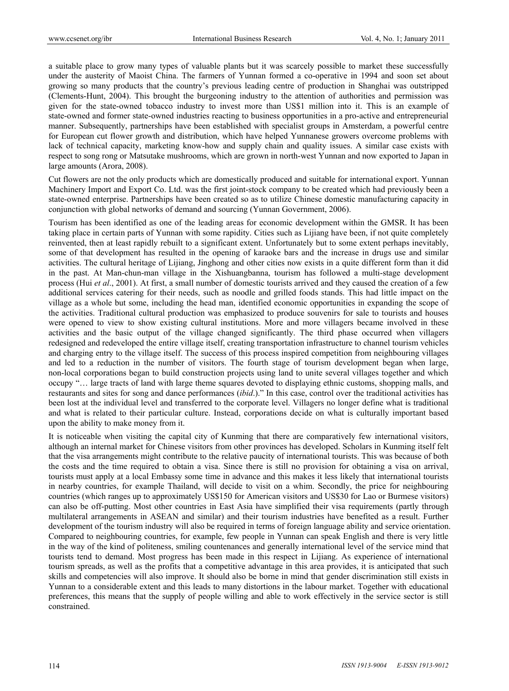a suitable place to grow many types of valuable plants but it was scarcely possible to market these successfully under the austerity of Maoist China. The farmers of Yunnan formed a co-operative in 1994 and soon set about growing so many products that the country's previous leading centre of production in Shanghai was outstripped (Clements-Hunt, 2004). This brought the burgeoning industry to the attention of authorities and permission was given for the state-owned tobacco industry to invest more than US\$1 million into it. This is an example of state-owned and former state-owned industries reacting to business opportunities in a pro-active and entrepreneurial manner. Subsequently, partnerships have been established with specialist groups in Amsterdam, a powerful centre for European cut flower growth and distribution, which have helped Yunnanese growers overcome problems with lack of technical capacity, marketing know-how and supply chain and quality issues. A similar case exists with respect to song rong or Matsutake mushrooms, which are grown in north-west Yunnan and now exported to Japan in large amounts (Arora, 2008).

Cut flowers are not the only products which are domestically produced and suitable for international export. Yunnan Machinery Import and Export Co. Ltd. was the first joint-stock company to be created which had previously been a state-owned enterprise. Partnerships have been created so as to utilize Chinese domestic manufacturing capacity in conjunction with global networks of demand and sourcing (Yunnan Government, 2006).

Tourism has been identified as one of the leading areas for economic development within the GMSR. It has been taking place in certain parts of Yunnan with some rapidity. Cities such as Lijiang have been, if not quite completely reinvented, then at least rapidly rebuilt to a significant extent. Unfortunately but to some extent perhaps inevitably, some of that development has resulted in the opening of karaoke bars and the increase in drugs use and similar activities. The cultural heritage of Lijiang, Jinghong and other cities now exists in a quite different form than it did in the past. At Man-chun-man village in the Xishuangbanna, tourism has followed a multi-stage development process (Hui *et al*., 2001). At first, a small number of domestic tourists arrived and they caused the creation of a few additional services catering for their needs, such as noodle and grilled foods stands. This had little impact on the village as a whole but some, including the head man, identified economic opportunities in expanding the scope of the activities. Traditional cultural production was emphasized to produce souvenirs for sale to tourists and houses were opened to view to show existing cultural institutions. More and more villagers became involved in these activities and the basic output of the village changed significantly. The third phase occurred when villagers redesigned and redeveloped the entire village itself, creating transportation infrastructure to channel tourism vehicles and charging entry to the village itself. The success of this process inspired competition from neighbouring villages and led to a reduction in the number of visitors. The fourth stage of tourism development began when large, non-local corporations began to build construction projects using land to unite several villages together and which occupy "… large tracts of land with large theme squares devoted to displaying ethnic customs, shopping malls, and restaurants and sites for song and dance performances (*ibid*.)." In this case, control over the traditional activities has been lost at the individual level and transferred to the corporate level. Villagers no longer define what is traditional and what is related to their particular culture. Instead, corporations decide on what is culturally important based upon the ability to make money from it.

It is noticeable when visiting the capital city of Kunming that there are comparatively few international visitors, although an internal market for Chinese visitors from other provinces has developed. Scholars in Kunming itself felt that the visa arrangements might contribute to the relative paucity of international tourists. This was because of both the costs and the time required to obtain a visa. Since there is still no provision for obtaining a visa on arrival, tourists must apply at a local Embassy some time in advance and this makes it less likely that international tourists in nearby countries, for example Thailand, will decide to visit on a whim. Secondly, the price for neighbouring countries (which ranges up to approximately US\$150 for American visitors and US\$30 for Lao or Burmese visitors) can also be off-putting. Most other countries in East Asia have simplified their visa requirements (partly through multilateral arrangements in ASEAN and similar) and their tourism industries have benefited as a result. Further development of the tourism industry will also be required in terms of foreign language ability and service orientation. Compared to neighbouring countries, for example, few people in Yunnan can speak English and there is very little in the way of the kind of politeness, smiling countenances and generally international level of the service mind that tourists tend to demand. Most progress has been made in this respect in Lijiang. As experience of international tourism spreads, as well as the profits that a competitive advantage in this area provides, it is anticipated that such skills and competencies will also improve. It should also be borne in mind that gender discrimination still exists in Yunnan to a considerable extent and this leads to many distortions in the labour market. Together with educational preferences, this means that the supply of people willing and able to work effectively in the service sector is still constrained.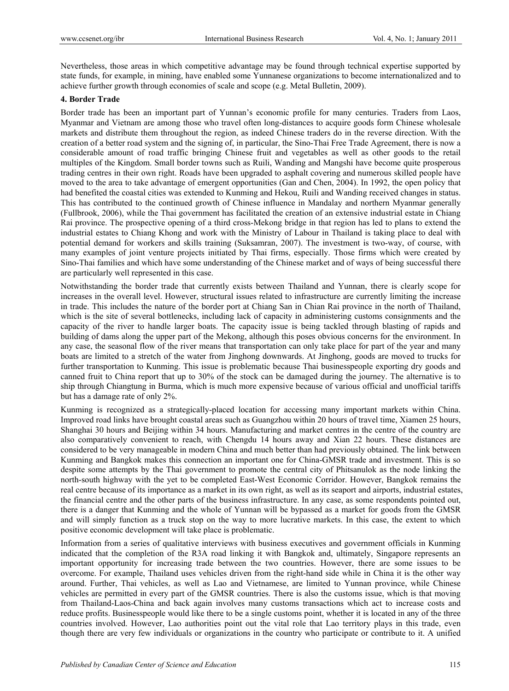Nevertheless, those areas in which competitive advantage may be found through technical expertise supported by state funds, for example, in mining, have enabled some Yunnanese organizations to become internationalized and to achieve further growth through economies of scale and scope (e.g. Metal Bulletin, 2009).

# **4. Border Trade**

Border trade has been an important part of Yunnan's economic profile for many centuries. Traders from Laos, Myanmar and Vietnam are among those who travel often long-distances to acquire goods form Chinese wholesale markets and distribute them throughout the region, as indeed Chinese traders do in the reverse direction. With the creation of a better road system and the signing of, in particular, the Sino-Thai Free Trade Agreement, there is now a considerable amount of road traffic bringing Chinese fruit and vegetables as well as other goods to the retail multiples of the Kingdom. Small border towns such as Ruili, Wanding and Mangshi have become quite prosperous trading centres in their own right. Roads have been upgraded to asphalt covering and numerous skilled people have moved to the area to take advantage of emergent opportunities (Gan and Chen, 2004). In 1992, the open policy that had benefited the coastal cities was extended to Kunming and Hekou, Ruili and Wanding received changes in status. This has contributed to the continued growth of Chinese influence in Mandalay and northern Myanmar generally (Fullbrook, 2006), while the Thai government has facilitated the creation of an extensive industrial estate in Chiang Rai province. The prospective opening of a third cross-Mekong bridge in that region has led to plans to extend the industrial estates to Chiang Khong and work with the Ministry of Labour in Thailand is taking place to deal with potential demand for workers and skills training (Suksamran, 2007). The investment is two-way, of course, with many examples of joint venture projects initiated by Thai firms, especially. Those firms which were created by Sino-Thai families and which have some understanding of the Chinese market and of ways of being successful there are particularly well represented in this case.

Notwithstanding the border trade that currently exists between Thailand and Yunnan, there is clearly scope for increases in the overall level. However, structural issues related to infrastructure are currently limiting the increase in trade. This includes the nature of the border port at Chiang San in Chian Rai province in the north of Thailand, which is the site of several bottlenecks, including lack of capacity in administering customs consignments and the capacity of the river to handle larger boats. The capacity issue is being tackled through blasting of rapids and building of dams along the upper part of the Mekong, although this poses obvious concerns for the environment. In any case, the seasonal flow of the river means that transportation can only take place for part of the year and many boats are limited to a stretch of the water from Jinghong downwards. At Jinghong, goods are moved to trucks for further transportation to Kunming. This issue is problematic because Thai businesspeople exporting dry goods and canned fruit to China report that up to 30% of the stock can be damaged during the journey. The alternative is to ship through Chiangtung in Burma, which is much more expensive because of various official and unofficial tariffs but has a damage rate of only 2%.

Kunming is recognized as a strategically-placed location for accessing many important markets within China. Improved road links have brought coastal areas such as Guangzhou within 20 hours of travel time, Xiamen 25 hours, Shanghai 30 hours and Beijing within 34 hours. Manufacturing and market centres in the centre of the country are also comparatively convenient to reach, with Chengdu 14 hours away and Xian 22 hours. These distances are considered to be very manageable in modern China and much better than had previously obtained. The link between Kunming and Bangkok makes this connection an important one for China-GMSR trade and investment. This is so despite some attempts by the Thai government to promote the central city of Phitsanulok as the node linking the north-south highway with the yet to be completed East-West Economic Corridor. However, Bangkok remains the real centre because of its importance as a market in its own right, as well as its seaport and airports, industrial estates, the financial centre and the other parts of the business infrastructure. In any case, as some respondents pointed out, there is a danger that Kunming and the whole of Yunnan will be bypassed as a market for goods from the GMSR and will simply function as a truck stop on the way to more lucrative markets. In this case, the extent to which positive economic development will take place is problematic.

Information from a series of qualitative interviews with business executives and government officials in Kunming indicated that the completion of the R3A road linking it with Bangkok and, ultimately, Singapore represents an important opportunity for increasing trade between the two countries. However, there are some issues to be overcome. For example, Thailand uses vehicles driven from the right-hand side while in China it is the other way around. Further, Thai vehicles, as well as Lao and Vietnamese, are limited to Yunnan province, while Chinese vehicles are permitted in every part of the GMSR countries. There is also the customs issue, which is that moving from Thailand-Laos-China and back again involves many customs transactions which act to increase costs and reduce profits. Businesspeople would like there to be a single customs point, whether it is located in any of the three countries involved. However, Lao authorities point out the vital role that Lao territory plays in this trade, even though there are very few individuals or organizations in the country who participate or contribute to it. A unified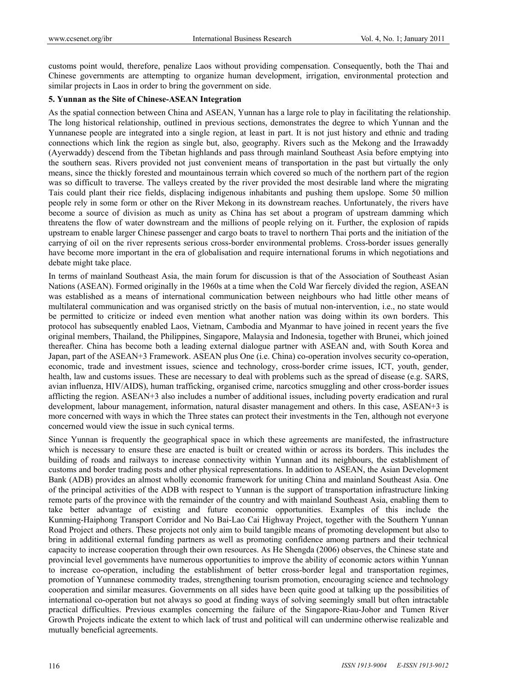customs point would, therefore, penalize Laos without providing compensation. Consequently, both the Thai and Chinese governments are attempting to organize human development, irrigation, environmental protection and similar projects in Laos in order to bring the government on side.

## **5. Yunnan as the Site of Chinese-ASEAN Integration**

As the spatial connection between China and ASEAN, Yunnan has a large role to play in facilitating the relationship. The long historical relationship, outlined in previous sections, demonstrates the degree to which Yunnan and the Yunnanese people are integrated into a single region, at least in part. It is not just history and ethnic and trading connections which link the region as single but, also, geography. Rivers such as the Mekong and the Irrawaddy (Ayerwaddy) descend from the Tibetan highlands and pass through mainland Southeast Asia before emptying into the southern seas. Rivers provided not just convenient means of transportation in the past but virtually the only means, since the thickly forested and mountainous terrain which covered so much of the northern part of the region was so difficult to traverse. The valleys created by the river provided the most desirable land where the migrating Tais could plant their rice fields, displacing indigenous inhabitants and pushing them upslope. Some 50 million people rely in some form or other on the River Mekong in its downstream reaches. Unfortunately, the rivers have become a source of division as much as unity as China has set about a program of upstream damming which threatens the flow of water downstream and the millions of people relying on it. Further, the explosion of rapids upstream to enable larger Chinese passenger and cargo boats to travel to northern Thai ports and the initiation of the carrying of oil on the river represents serious cross-border environmental problems. Cross-border issues generally have become more important in the era of globalisation and require international forums in which negotiations and debate might take place.

In terms of mainland Southeast Asia, the main forum for discussion is that of the Association of Southeast Asian Nations (ASEAN). Formed originally in the 1960s at a time when the Cold War fiercely divided the region, ASEAN was established as a means of international communication between neighbours who had little other means of multilateral communication and was organised strictly on the basis of mutual non-intervention, i.e., no state would be permitted to criticize or indeed even mention what another nation was doing within its own borders. This protocol has subsequently enabled Laos, Vietnam, Cambodia and Myanmar to have joined in recent years the five original members, Thailand, the Philippines, Singapore, Malaysia and Indonesia, together with Brunei, which joined thereafter. China has become both a leading external dialogue partner with ASEAN and, with South Korea and Japan, part of the ASEAN+3 Framework. ASEAN plus One (i.e. China) co-operation involves security co-operation, economic, trade and investment issues, science and technology, cross-border crime issues, ICT, youth, gender, health, law and customs issues. These are necessary to deal with problems such as the spread of disease (e.g. SARS, avian influenza, HIV/AIDS), human trafficking, organised crime, narcotics smuggling and other cross-border issues afflicting the region. ASEAN+3 also includes a number of additional issues, including poverty eradication and rural development, labour management, information, natural disaster management and others. In this case, ASEAN+3 is more concerned with ways in which the Three states can protect their investments in the Ten, although not everyone concerned would view the issue in such cynical terms.

Since Yunnan is frequently the geographical space in which these agreements are manifested, the infrastructure which is necessary to ensure these are enacted is built or created within or across its borders. This includes the building of roads and railways to increase connectivity within Yunnan and its neighbours, the establishment of customs and border trading posts and other physical representations. In addition to ASEAN, the Asian Development Bank (ADB) provides an almost wholly economic framework for uniting China and mainland Southeast Asia. One of the principal activities of the ADB with respect to Yunnan is the support of transportation infrastructure linking remote parts of the province with the remainder of the country and with mainland Southeast Asia, enabling them to take better advantage of existing and future economic opportunities. Examples of this include the Kunming-Haiphong Transport Corridor and No Bai-Lao Cai Highway Project, together with the Southern Yunnan Road Project and others. These projects not only aim to build tangible means of promoting development but also to bring in additional external funding partners as well as promoting confidence among partners and their technical capacity to increase cooperation through their own resources. As He Shengda (2006) observes, the Chinese state and provincial level governments have numerous opportunities to improve the ability of economic actors within Yunnan to increase co-operation, including the establishment of better cross-border legal and transportation regimes, promotion of Yunnanese commodity trades, strengthening tourism promotion, encouraging science and technology cooperation and similar measures. Governments on all sides have been quite good at talking up the possibilities of international co-operation but not always so good at finding ways of solving seemingly small but often intractable practical difficulties. Previous examples concerning the failure of the Singapore-Riau-Johor and Tumen River Growth Projects indicate the extent to which lack of trust and political will can undermine otherwise realizable and mutually beneficial agreements.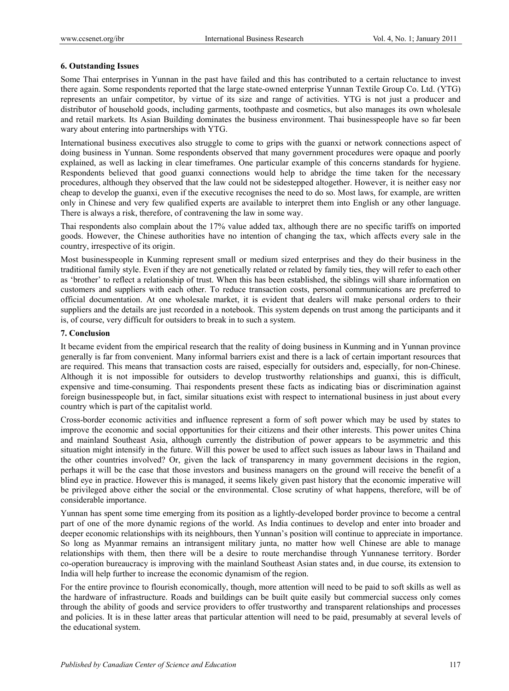## **6. Outstanding Issues**

Some Thai enterprises in Yunnan in the past have failed and this has contributed to a certain reluctance to invest there again. Some respondents reported that the large state-owned enterprise Yunnan Textile Group Co. Ltd. (YTG) represents an unfair competitor, by virtue of its size and range of activities. YTG is not just a producer and distributor of household goods, including garments, toothpaste and cosmetics, but also manages its own wholesale and retail markets. Its Asian Building dominates the business environment. Thai businesspeople have so far been wary about entering into partnerships with YTG.

International business executives also struggle to come to grips with the guanxi or network connections aspect of doing business in Yunnan. Some respondents observed that many government procedures were opaque and poorly explained, as well as lacking in clear timeframes. One particular example of this concerns standards for hygiene. Respondents believed that good guanxi connections would help to abridge the time taken for the necessary procedures, although they observed that the law could not be sidestepped altogether. However, it is neither easy nor cheap to develop the guanxi, even if the executive recognises the need to do so. Most laws, for example, are written only in Chinese and very few qualified experts are available to interpret them into English or any other language. There is always a risk, therefore, of contravening the law in some way.

Thai respondents also complain about the 17% value added tax, although there are no specific tariffs on imported goods. However, the Chinese authorities have no intention of changing the tax, which affects every sale in the country, irrespective of its origin.

Most businesspeople in Kunming represent small or medium sized enterprises and they do their business in the traditional family style. Even if they are not genetically related or related by family ties, they will refer to each other as 'brother' to reflect a relationship of trust. When this has been established, the siblings will share information on customers and suppliers with each other. To reduce transaction costs, personal communications are preferred to official documentation. At one wholesale market, it is evident that dealers will make personal orders to their suppliers and the details are just recorded in a notebook. This system depends on trust among the participants and it is, of course, very difficult for outsiders to break in to such a system.

## **7. Conclusion**

It became evident from the empirical research that the reality of doing business in Kunming and in Yunnan province generally is far from convenient. Many informal barriers exist and there is a lack of certain important resources that are required. This means that transaction costs are raised, especially for outsiders and, especially, for non-Chinese. Although it is not impossible for outsiders to develop trustworthy relationships and guanxi, this is difficult, expensive and time-consuming. Thai respondents present these facts as indicating bias or discrimination against foreign businesspeople but, in fact, similar situations exist with respect to international business in just about every country which is part of the capitalist world.

Cross-border economic activities and influence represent a form of soft power which may be used by states to improve the economic and social opportunities for their citizens and their other interests. This power unites China and mainland Southeast Asia, although currently the distribution of power appears to be asymmetric and this situation might intensify in the future. Will this power be used to affect such issues as labour laws in Thailand and the other countries involved? Or, given the lack of transparency in many government decisions in the region, perhaps it will be the case that those investors and business managers on the ground will receive the benefit of a blind eye in practice. However this is managed, it seems likely given past history that the economic imperative will be privileged above either the social or the environmental. Close scrutiny of what happens, therefore, will be of considerable importance.

Yunnan has spent some time emerging from its position as a lightly-developed border province to become a central part of one of the more dynamic regions of the world. As India continues to develop and enter into broader and deeper economic relationships with its neighbours, then Yunnan's position will continue to appreciate in importance. So long as Myanmar remains an intransigent military junta, no matter how well Chinese are able to manage relationships with them, then there will be a desire to route merchandise through Yunnanese territory. Border co-operation bureaucracy is improving with the mainland Southeast Asian states and, in due course, its extension to India will help further to increase the economic dynamism of the region.

For the entire province to flourish economically, though, more attention will need to be paid to soft skills as well as the hardware of infrastructure. Roads and buildings can be built quite easily but commercial success only comes through the ability of goods and service providers to offer trustworthy and transparent relationships and processes and policies. It is in these latter areas that particular attention will need to be paid, presumably at several levels of the educational system.